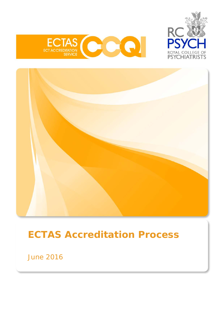





# **ECTAS Accreditation Process**

June 2016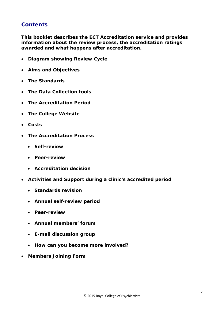# **Contents**

*This booklet describes the ECT Accreditation service and provides information about the review process, the accreditation ratings awarded and what happens after accreditation.*

- **Diagram showing Review Cycle**
- **Aims and Objectives**
- **The Standards**
- **The Data Collection tools**
- **The Accreditation Period**
- **The College Website**
- **Costs**
- **The Accreditation Process**
	- **Self-review**
	- **Peer-review**
	- **Accreditation decision**
- **Activities and Support during a clinic's accredited period**
	- **Standards revision**
	- **Annual self-review period**
	- **Peer-review**
	- **Annual members' forum**
	- **E-mail discussion group**
	- **How can you become more involved?**
- **Members Joining Form**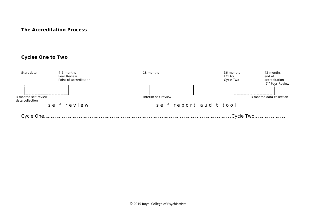#### **The Accreditation Process**

## **Cycles One to Two**

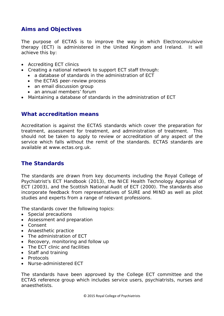# **Aims and Objectives**

The purpose of ECTAS is to improve the way in which Electroconvulsive therapy (ECT) is administered in the United Kingdom and Ireland. It will achieve this by:

- Accrediting ECT clinics
- Creating a national network to support ECT staff through:
	- a database of standards in the administration of ECT
	- the ECTAS peer-review process
	- an email discussion group
	- an annual members' forum
- Maintaining a database of standards in the administration of ECT

## **What accreditation means**

Accreditation is against the ECTAS standards which cover the preparation for treatment, assessment for treatment, and administration of treatment. This should not be taken to apply to review or accreditation of any aspect of the service which falls without the remit of the standards. ECTAS standards are available at www.ectas.org.uk.

## **The Standards**

The standards are drawn from key documents including the Royal College of Psychiatrist's ECT Handbook (2013), the NICE Health Technology Appraisal of ECT (2003), and the Scottish National Audit of ECT (2000). The standards also incorporate feedback from representatives of SURE and MIND as well as pilot studies and experts from a range of relevant professions.

The standards cover the following topics:

- Special precautions
- Assessment and preparation
- Consent
- Anaesthetic practice
- The administration of ECT
- Recovery, monitoring and follow up
- The ECT clinic and facilities
- Staff and training
- Protocols
- Nurse-administered ECT

The standards have been approved by the College ECT committee and the ECTAS reference group which includes service users, psychiatrists, nurses and anaesthetists.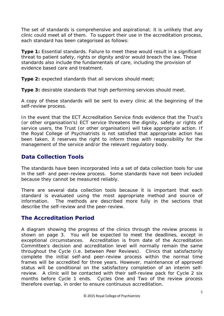The set of standards is comprehensive and aspirational; it is unlikely that any clinic could meet all of them. To support their use in the accreditation process, each standard has been categorised as follows:

**Type 1:** Essential standards. Failure to meet these would result in a significant threat to patient safety, rights or dignity and/or would breach the law. These standards also include the fundamentals of care, including the provision of evidence based care and treatment.

**Type 2:** expected standards that all services should meet;

**Type 3:** desirable standards that high performing services should meet.

A copy of these standards will be sent to every clinic at the beginning of the self-review process.

In the event that the ECT Accreditation Service finds evidence that the Trust's (or other organisation's) ECT service threatens the dignity, safety or rights of service users, the Trust (or other organisation) will take appropriate action. If the Royal College of Psychiatrists is not satisfied that appropriate action has been taken, it reserves the right to inform those with responsibility for the management of the service and/or the relevant regulatory body.

# **Data Collection Tools**

The standards have been incorporated into a set of data collection tools for use in the self- and peer-review process. Some standards have not been included because they cannot be measured reliably.

There are several data collection tools because it is important that each standard is evaluated using the most appropriate method and source of information. The methods are described more fully in the sections that describe the self-review and the peer-review.

# **The Accreditation Period**

A diagram showing the progress of the clinics through the review process is shown on page 3. You will be expected to meet the deadlines, except in exceptional circumstances. Accreditation is from date of the Accreditation Committee's decision and accreditation level will normally remain the same throughout the Cycle (i.e. between Peer Reviews). Clinics that satisfactorily complete the initial self-and peer-review process within the normal time frames will be accredited for three years. However, maintenance of approved status will be conditional on the satisfactory completion of an interim selfreview. A clinic will be contacted with their self-review pack for Cycle 2 six months before Cycle 1 ends. Cycles One and Two of the review process therefore overlap, in order to ensure continuous accreditation.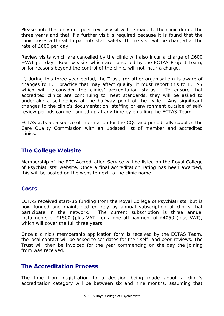Please note that only one peer-review visit will be made to the clinic during the three years and that if a further visit is required because it is found that the clinic poses a threat to patient/ staff safety, the re-visit will be charged at the rate of £600 per day.

Review visits which are cancelled by the clinic will also incur a charge of £600 +VAT per day. Review visits which are cancelled by the ECTAS Project Team, or for reasons beyond the control of the clinic, will not incur a charge.

If, during this three year period, the Trust, (or other organisation) is aware of changes to ECT practice that may affect quality, it must report this to ECTAS which will re-consider the clinics' accreditation status. To ensure that accredited clinics are continuing to meet standards, they will be asked to undertake a self-review at the halfway point of the cycle. Any significant changes to the clinic's documentation, staffing or environment outside of selfreview periods can be flagged up at any time by emailing the ECTAS Team.

ECTAS acts as a source of information for the CQC and periodically supplies the Care Quality Commission with an updated list of member and accredited clinics.

# **The College Website**

Membership of the ECT Accreditation Service will be listed on the Royal College of Psychiatrists' website. Once a final accreditation rating has been awarded, this will be posted on the website next to the clinic name.

# **Costs**

ECTAS received start-up funding from the Royal College of Psychiatrists, but is now funded and maintained entirely by annual subscription of clinics that participate in the network. The current subscription is three annual instalments of £1500 (plus VAT), or a one off payment of £4050 (plus VAT), which will cover the full three years.

Once a clinic's membership application form is received by the ECTAS Team, the local contact will be asked to set dates for their self- and peer-reviews. The Trust will then be invoiced for the year commencing on the day the joining from was received.

## **The Accreditation Process**

The time from registration to a decision being made about a clinic's accreditation category will be between six and nine months, assuming that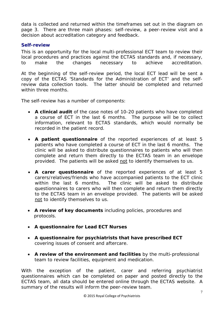data is collected and returned within the timeframes set out in the diagram on page 3. There are three main phases: self-review, a peer-review visit and a decision about accreditation category and feedback.

## **Self-review**

*This is an opportunity for the local multi-professional ECT team to review their local procedures and practices against the ECTAS standards and, if necessary, to make the changes necessary to achieve accreditation.*

At the beginning of the self-review period, the local ECT lead will be sent a copy of the ECTAS 'Standards for the Administration of ECT' and the selfreview data collection tools. The latter should be completed and returned within three months.

The self-review has a number of components:

- **A clinical audit** of the case notes of 10-20 patients who have completed a course of ECT in the last 6 months. The purpose will be to collect information, relevant to ECTAS standards, which would normally be recorded in the patient record.
- **A patient questionnaire** of the reported experiences of at least 5 patients who have completed a course of ECT in the last 6 months. The clinic will be asked to distribute questionnaires to patients who will then complete and return them directly to the ECTAS team in an envelope provided. The patients will be asked not to identify themselves to us.
- **A carer questionnaire** of the reported experiences of at least 5 carers/relatives/friends who have accompanied patients to the ECT clinic within the last 6 months. The clinic will be asked to distribute questionnaires to carers who will then complete and return them directly to the ECTAS team in an envelope provided. The patients will be asked not to identify themselves to us.
- **A review of key documents** including policies, procedures and protocols.
- **A questionnaire for Lead ECT Nurses**
- **A questionnaire for psychiatrists that have prescribed ECT**  covering issues of consent and aftercare.
- **A review of the environment and facilities** by the multi-professional team to review facilities, equipment and medication.

With the exception of the patient, carer and referring psychiatrist questionnaires which can be completed on paper and posted directly to the ECTAS team, all data should be entered online through the ECTAS website. A summary of the results will inform the peer-review team.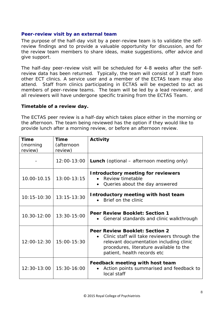#### **Peer-review visit by an external team**

*The purpose of the half-day visit by a peer-review team is to validate the selfreview findings and to provide a valuable opportunity for discussion, and for the review team members to share ideas, make suggestions, offer advice and give support.* 

The half-day peer-review visit will be scheduled for 4-8 weeks after the selfreview data has been returned. Typically, the team will consist of 3 staff from other ECT clinics. A service user and a member of the ECTAS team may also attend. Staff from clinics participating in ECTAS will be expected to act as members of peer-review teams. The team will be led by a lead reviewer, and all reviewers will have undergone specific training from the ECTAS Team.

#### **Timetable of a review day.**

The ECTAS peer review is a half-day which takes place either in the morning or the afternoon. The team being reviewed has the option if they would like to provide lunch after a morning review, or before an afternoon review.

| <b>Time</b>         | Time                  | <b>Activity</b>                                                                                                                                                                                            |
|---------------------|-----------------------|------------------------------------------------------------------------------------------------------------------------------------------------------------------------------------------------------------|
| (morning<br>review) | (afternoon<br>review) |                                                                                                                                                                                                            |
|                     | 12:00-13:00           | <b>Lunch</b> (optional – afternoon meeting only)                                                                                                                                                           |
| 10.00-10.15         | $13:00 - 13:15$       | Introductory meeting for reviewers<br>Review timetable<br>Queries about the day answered<br>$\bullet$                                                                                                      |
| $10:15 - 10:30$     | $13:15 - 13:30$       | Introductory meeting with host team<br>Brief on the clinic                                                                                                                                                 |
| $10.30 - 12:00$     | $13:30 - 15:00$       | <b>Peer Review Booklet: Section 1</b><br>General standards and clinic walkthrough                                                                                                                          |
| $12:00 - 12:30$     | 15:00-15:30           | <b>Peer Review Booklet: Section 2</b><br>Clinic staff will take reviewers through the<br>relevant documentation including clinic<br>procedures, literature available to the<br>patient, health records etc |
| $12:30-13:00$       | $15:30-16:00$         | Feedback meeting with host team<br>Action points summarised and feedback to<br>local staff                                                                                                                 |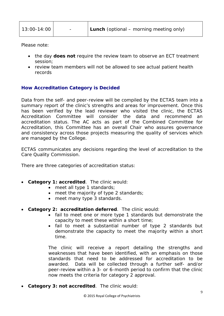| 13:00-14:00 | - | <b>Lunch</b> (optional – morning meeting only) |
|-------------|---|------------------------------------------------|
|             |   |                                                |

Please note:

- the day **does not** require the review team to observe an ECT treatment session;
- review team members will not be allowed to see actual patient health records

#### **How Accreditation Category is Decided**

Data from the self- and peer-review will be compiled by the ECTAS team into a summary report of the clinic's strengths and areas for improvement. Once this has been verified by the lead reviewer who visited the clinic, the ECTAS Accreditation Committee will consider the data and recommend an accreditation status. The AC acts as part of the Combined Committee for Accreditation, this Committee has an overall Chair who assures governance and consistency across those projects measuring the quality of services which are managed by the College.

ECTAS communicates any decisions regarding the level of accreditation to the Care Quality Commission.

There are three categories of accreditation status:

- **Category 1: accredited**. The clinic would:
	- meet all type 1 standards;
	- meet the majority of type 2 standards;
	- meet many type 3 standards.
- **Category 2: accreditation deferred**. The clinic would:
	- fail to meet one or more type 1 standards but demonstrate the capacity to meet these within a short time;
	- fail to meet a substantial number of type 2 standards but demonstrate the capacity to meet the majority within a short time.

The clinic will receive a report detailing the strengths and weaknesses that have been identified, with an emphasis on those standards that need to be addressed for accreditation to be awarded. Data will be collected through a further self- and/or peer-review within a 3- or 6-month period to confirm that the clinic now meets the criteria for category 2 approval.

• **Category 3: not accredited**. The clinic would: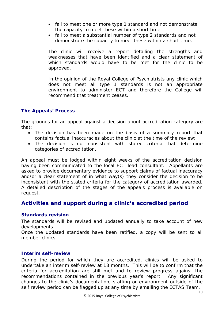- fail to meet one or more type 1 standard and not demonstrate the capacity to meet these within a short time;
- fail to meet a substantial number of type 2 standards and not demonstrate the capacity to meet these within a short time.

The clinic will receive a report detailing the strengths and weaknesses that have been identified and a clear statement of which standards would have to be met for the clinic to be approved.

In the opinion of the Royal College of Psychiatrists any clinic which does not meet all type 1 standards is not an appropriate environment to administer ECT and therefore the College will recommend that treatment ceases.

## **The Appeals' Process**

The grounds for an appeal against a decision about accreditation category are that:

- The decision has been made on the basis of a summary report that contains factual inaccuracies about the clinic at the time of the review;
- The decision is not consistent with stated criteria that determine categories of accreditation.

An appeal must be lodged within eight weeks of the accreditation decision having been communicated to the local ECT lead consultant. Appellants are asked to provide documentary evidence to support claims of factual inaccuracy and/or a clear statement of in what way(s) they consider the decision to be inconsistent with the stated criteria for the category of accreditation awarded. A detailed description of the stages of the appeals process is available on request.

# **Activities and support during a clinic's accredited period**

#### **Standards revision**

The standards will be revised and updated annually to take account of new developments.

Once the updated standards have been ratified, a copy will be sent to all member clinics.

#### **Interim self-review**

During the period for which they are accredited, clinics will be asked to undertake an interim self-review at 18 months. This will be to confirm that the criteria for accreditation are still met and to review progress against the recommendations contained in the previous year's report. Any significant changes to the clinic's documentation, staffing or environment outside of the self review period can be flagged up at any time by emailing the ECTAS Team.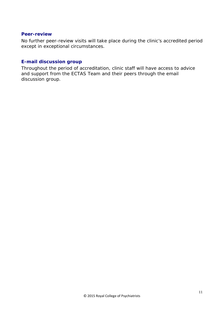#### **Peer-review**

No further peer-review visits will take place during the clinic's accredited period except in exceptional circumstances.

## **E-mail discussion group**

Throughout the period of accreditation, clinic staff will have access to advice and support from the ECTAS Team and their peers through the email discussion group.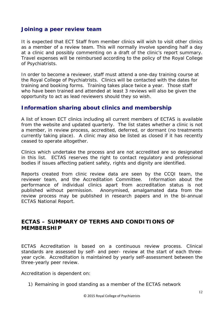## **Joining a peer review team**

It is expected that ECT Staff from member clinics will wish to visit other clinics as a member of a review team. This will normally involve spending half a day at a clinic and possibly commenting on a draft of the clinic's report summary. Travel expenses will be reimbursed according to the policy of the Royal College of Psychiatrists.

In order to become a reviewer, staff must attend a one-day training course at the Royal College of Psychiatrists. Clinics will be contacted with the dates for training and booking forms. Training takes place twice a year. Those staff who have been trained and attended at least 3 reviews will also be given the opportunity to act as lead reviewers should they so wish.

# **Information sharing about clinics and membership**

A list of known ECT clinics including all current members of ECTAS is available from the website and updated quarterly. The list states whether a clinic is not a member, in review process, accredited, deferred, or dormant (no treatments currently taking place). A clinic may also be listed as closed if it has recently ceased to operate altogether.

Clinics which undertake the process and are not accredited are so designated in this list. ECTAS reserves the right to contact regulatory and professional bodies if issues affecting patient safety, rights and dignity are identified.

Reports created from clinic review data are seen by the CCQI team, the reviewer team, and the Accreditation Committee. Information about the performance of individual clinics apart from accreditation status is not published without permission. Anonymised, amalgamated data from the review process may be published in research papers and in the bi-annual ECTAS National Report.

# **ECTAS – SUMMARY OF TERMS AND CONDITIONS OF MEMBERSHIP**

ECTAS Accreditation is based on a continuous review process. Clinical standards are assessed by self- and peer- review at the start of each threeyear cycle. Accreditation is maintained by yearly self-assessment between the three-yearly peer review.

Accreditation is dependent on:

1) Remaining in good standing as a member of the ECTAS network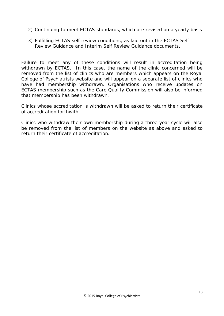- 2) Continuing to meet ECTAS standards, which are revised on a yearly basis
- 3) Fulfilling ECTAS self review conditions, as laid out in the ECTAS Self Review Guidance and Interim Self Review Guidance documents.

Failure to meet any of these conditions will result in accreditation being withdrawn by ECTAS. In this case, the name of the clinic concerned will be removed from the list of clinics who are members which appears on the Royal College of Psychiatrists website and will appear on a separate list of clinics who have had membership withdrawn. Organisations who receive updates on ECTAS membership such as the Care Quality Commission will also be informed that membership has been withdrawn.

Clinics whose accreditation is withdrawn will be asked to return their certificate of accreditation forthwith.

Clinics who withdraw their own membership during a three-year cycle will also be removed from the list of members on the website as above and asked to return their certificate of accreditation.